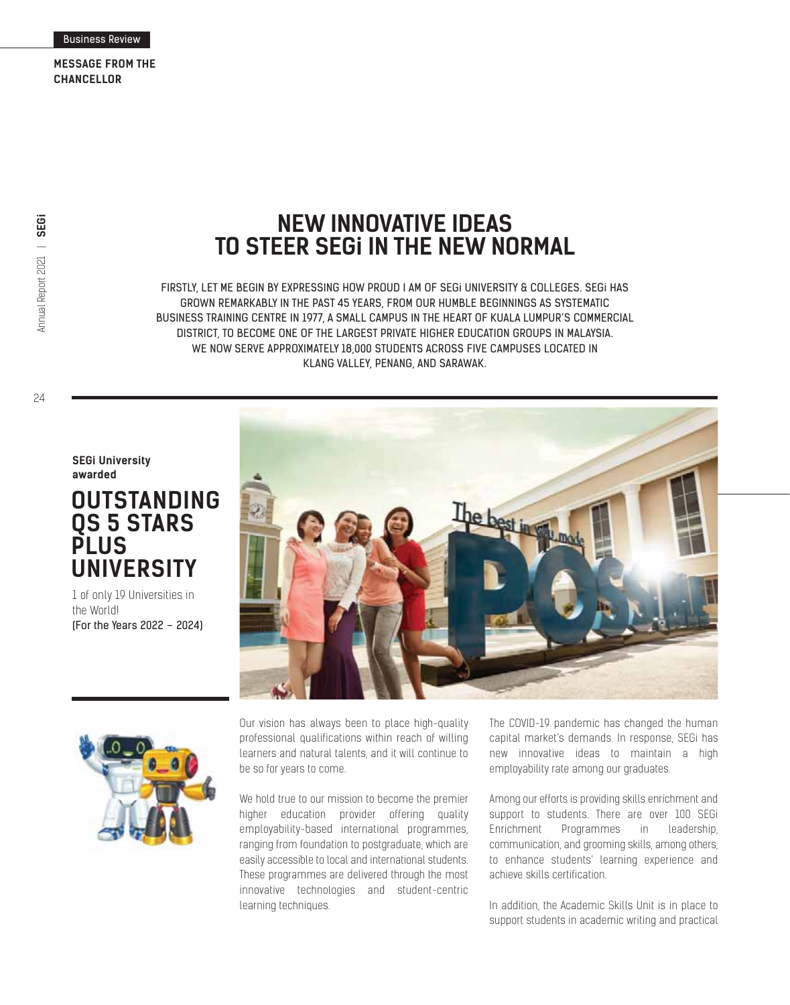**MESSAGE FROM THE CHANCELLOR**

24

## **NEW INNOVATIVE IDEAS TO STEER SEGi IN THE NEW NORMAL**

FIRSTLY, LET ME BEGIN BY EXPRESSING HOW PROUD I AM OF SEGi UNIVERSITY & COLLEGES. SEGi HAS GROWN REMARKABLY IN THE PAST 45 YEARS, FROM OUR HUMBLE BEGINNINGS AS SYSTEMATIC BUSINESS TRAINING CENTRE IN 1977, A SMALL CAMPUS IN THE HEART OF KUALA LUMPUR'S COMMERCIAL DISTRICT, TO BECOME ONE OF THE LARGEST PRIVATE HIGHER EDUCATION GROUPS IN MALAYSIA. WE NOW SERVE APPROXIMATELY 18,000 STUDENTS ACROSS FIVE CAMPUSES LOCATED IN KLANG VALLEY, PENANG, AND SARAWAK.

**SEGi University awarded**

## **OUTSTANDING QS 5 STARS PLUS UNIVERSITY**

1 of only 19 Universities in the World! (For the Years 2022 – 2024)





Our vision has always been to place high-quality professional qualifications within reach of willing learners and natural talents, and it will continue to be so for years to come.

We hold true to our mission to become the premier higher education provider offering quality employability-based international programmes, ranging from foundation to postgraduate, which are easily accessible to local and international students. These programmes are delivered through the most innovative technologies and student-centric learning techniques.

The COVID-19 pandemic has changed the human capital market's demands. In response, SEGi has new innovative ideas to maintain a high employability rate among our graduates.

Among our efforts is providing skills enrichment and support to students. There are over 100 SEGi Enrichment Programmes in leadership, communication, and grooming skills, among others, to enhance students' learning experience and achieve skills certification.

In addition, the Academic Skills Unit is in place to support students in academic writing and practical